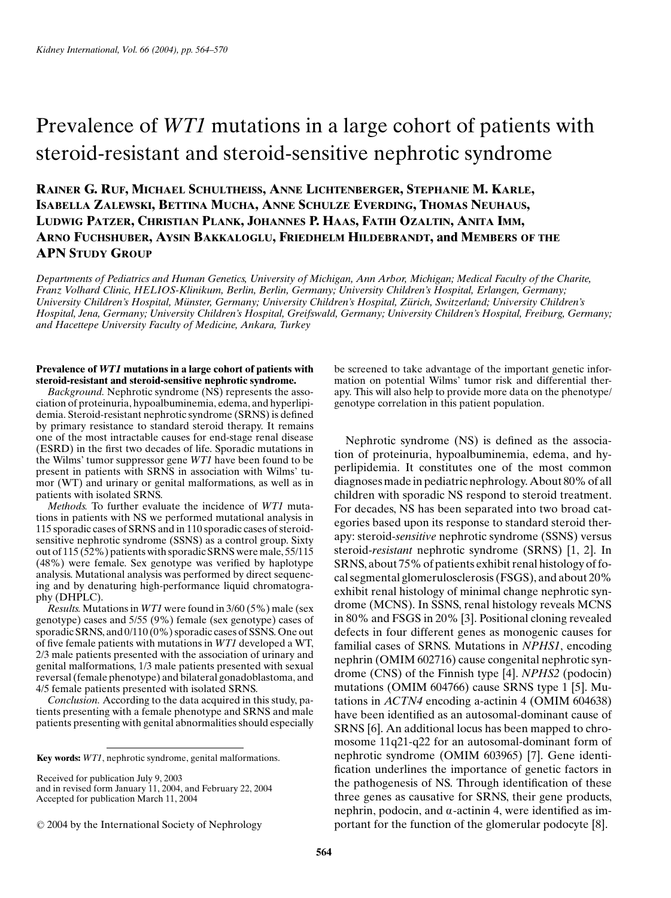# Prevalence of *WT1* mutations in a large cohort of patients with steroid-resistant and steroid-sensitive nephrotic syndrome

**RAINER G. RUF, MICHAEL SCHULTHEISS, ANNE LICHTENBERGER, STEPHANIE M. KARLE, ISABELLA ZALEWSKI, BETTINA MUCHA, ANNE SCHULZE EVERDING, THOMAS NEUHAUS, LUDWIG PATZER, CHRISTIAN PLANK, JOHANNES P. HAAS, FATIH OZALTIN, ANITA IMM, ARNO FUCHSHUBER, AYSIN BAKKALOGLU, FRIEDHELM HILDEBRANDT, and MEMBERS OF THE APN STUDY GROUP**

*Departments of Pediatrics and Human Genetics, University of Michigan, Ann Arbor, Michigan; Medical Faculty of the Charite, Franz Volhard Clinic, HELIOS-Klinikum, Berlin, Berlin, Germany; University Children's Hospital, Erlangen, Germany; University Children's Hospital, Münster, Germany; University Children's Hospital, Zürich, Switzerland; University Children's Hospital, Jena, Germany; University Children's Hospital, Greifswald, Germany; University Children's Hospital, Freiburg, Germany; and Hacettepe University Faculty of Medicine, Ankara, Turkey*

#### **Prevalence of** *WT1* **mutations in a large cohort of patients with steroid-resistant and steroid-sensitive nephrotic syndrome.**

*Background.* Nephrotic syndrome (NS) represents the association of proteinuria, hypoalbuminemia, edema, and hyperlipidemia. Steroid-resistant nephrotic syndrome (SRNS) is defined by primary resistance to standard steroid therapy. It remains one of the most intractable causes for end-stage renal disease (ESRD) in the first two decades of life. Sporadic mutations in the Wilms' tumor suppressor gene *WT1* have been found to be present in patients with SRNS in association with Wilms' tumor (WT) and urinary or genital malformations, as well as in patients with isolated SRNS.

*Methods.* To further evaluate the incidence of *WT1* mutations in patients with NS we performed mutational analysis in 115 sporadic cases of SRNS and in 110 sporadic cases of steroidsensitive nephrotic syndrome (SSNS) as a control group. Sixty out of 115 (52%) patients with sporadic SRNS were male, 55/115 (48%) were female. Sex genotype was verified by haplotype analysis. Mutational analysis was performed by direct sequencing and by denaturing high-performance liquid chromatography (DHPLC).

*Results.* Mutations in *WT1* were found in 3/60 (5%) male (sex genotype) cases and 5/55 (9%) female (sex genotype) cases of sporadic SRNS, and 0/110 (0%) sporadic cases of SSNS. One out of five female patients with mutations in *WT1* developed a WT, 2/3 male patients presented with the association of urinary and genital malformations, 1/3 male patients presented with sexual reversal (female phenotype) and bilateral gonadoblastoma, and 4/5 female patients presented with isolated SRNS.

*Conclusion.* According to the data acquired in this study, patients presenting with a female phenotype and SRNS and male patients presenting with genital abnormalities should especially

**Key words:** *WT1*, nephrotic syndrome, genital malformations.

Received for publication July 9, 2003 and in revised form January 11, 2004, and February 22, 2004 Accepted for publication March 11, 2004

be screened to take advantage of the important genetic information on potential Wilms' tumor risk and differential therapy. This will also help to provide more data on the phenotype/ genotype correlation in this patient population.

Nephrotic syndrome (NS) is defined as the association of proteinuria, hypoalbuminemia, edema, and hyperlipidemia. It constitutes one of the most common diagnoses made in pediatric nephrology. About 80% of all children with sporadic NS respond to steroid treatment. For decades, NS has been separated into two broad categories based upon its response to standard steroid therapy: steroid-*sensitive* nephrotic syndrome (SSNS) versus steroid-*resistant* nephrotic syndrome (SRNS) [1, 2]. In SRNS, about 75% of patients exhibit renal histology of focal segmental glomerulosclerosis (FSGS), and about 20% exhibit renal histology of minimal change nephrotic syndrome (MCNS). In SSNS, renal histology reveals MCNS in 80% and FSGS in 20% [3]. Positional cloning revealed defects in four different genes as monogenic causes for familial cases of SRNS. Mutations in *NPHS1*, encoding nephrin (OMIM 602716) cause congenital nephrotic syndrome (CNS) of the Finnish type [4]. *NPHS2* (podocin) mutations (OMIM 604766) cause SRNS type 1 [5]. Mutations in *ACTN4* encoding a-actinin 4 (OMIM 604638) have been identified as an autosomal-dominant cause of SRNS [6]. An additional locus has been mapped to chromosome 11q21-q22 for an autosomal-dominant form of nephrotic syndrome (OMIM 603965) [7]. Gene identification underlines the importance of genetic factors in the pathogenesis of NS. Through identification of these three genes as causative for SRNS, their gene products, nephrin, podocin, and  $\alpha$ -actinin 4, were identified as important for the function of the glomerular podocyte [8].

<sup>C</sup> 2004 by the International Society of Nephrology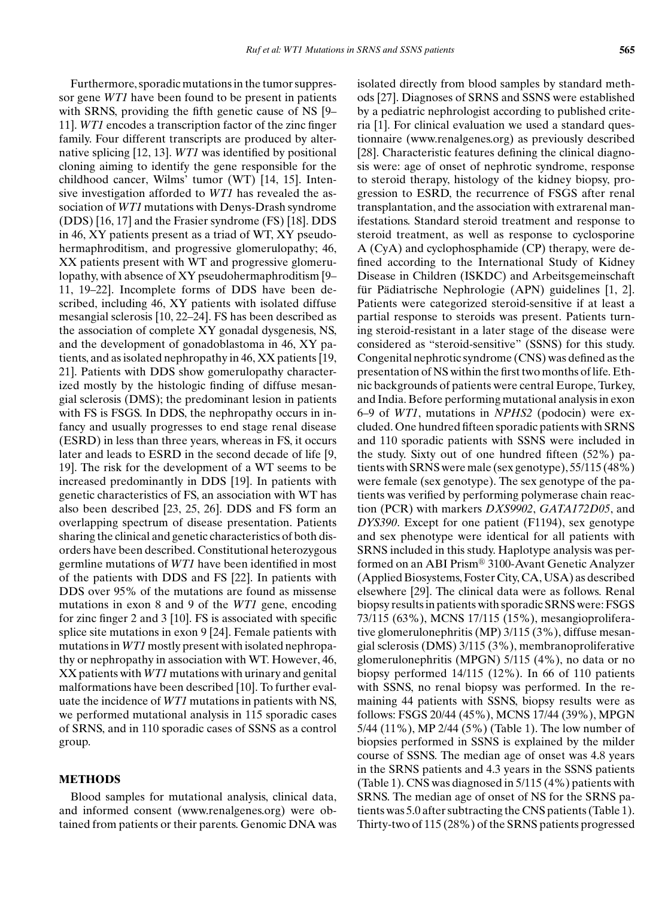Furthermore, sporadic mutations in the tumor suppressor gene *WT1* have been found to be present in patients with SRNS, providing the fifth genetic cause of NS [9– 11]. *WT1* encodes a transcription factor of the zinc finger family. Four different transcripts are produced by alternative splicing [12, 13]. *WT1* was identified by positional cloning aiming to identify the gene responsible for the childhood cancer, Wilms' tumor (WT) [14, 15]. Intensive investigation afforded to *WT1* has revealed the association of *WT1* mutations with Denys-Drash syndrome (DDS) [16, 17] and the Frasier syndrome (FS) [18]. DDS in 46, XY patients present as a triad of WT, XY pseudohermaphroditism, and progressive glomerulopathy; 46, XX patients present with WT and progressive glomerulopathy, with absence of XY pseudohermaphroditism [9– 11, 19–22]. Incomplete forms of DDS have been described, including 46, XY patients with isolated diffuse mesangial sclerosis [10, 22–24]. FS has been described as the association of complete XY gonadal dysgenesis, NS, and the development of gonadoblastoma in 46, XY patients, and as isolated nephropathy in 46, XX patients [19, 21]. Patients with DDS show gomerulopathy characterized mostly by the histologic finding of diffuse mesangial sclerosis (DMS); the predominant lesion in patients with FS is FSGS. In DDS, the nephropathy occurs in infancy and usually progresses to end stage renal disease (ESRD) in less than three years, whereas in FS, it occurs later and leads to ESRD in the second decade of life [9, 19]. The risk for the development of a WT seems to be increased predominantly in DDS [19]. In patients with genetic characteristics of FS, an association with WT has also been described [23, 25, 26]. DDS and FS form an overlapping spectrum of disease presentation. Patients sharing the clinical and genetic characteristics of both disorders have been described. Constitutional heterozygous germline mutations of *WT1* have been identified in most of the patients with DDS and FS [22]. In patients with DDS over 95% of the mutations are found as missense mutations in exon 8 and 9 of the *WT1* gene, encoding for zinc finger 2 and 3 [10]. FS is associated with specific splice site mutations in exon 9 [24]. Female patients with mutations in *WT1* mostly present with isolated nephropathy or nephropathy in association with WT. However, 46, XX patients with *WT1* mutations with urinary and genital malformations have been described [10]. To further evaluate the incidence of *WT1* mutations in patients with NS, we performed mutational analysis in 115 sporadic cases of SRNS, and in 110 sporadic cases of SSNS as a control group.

### **METHODS**

Blood samples for mutational analysis, clinical data, and informed consent (www.renalgenes.org) were obtained from patients or their parents. Genomic DNA was isolated directly from blood samples by standard methods [27]. Diagnoses of SRNS and SSNS were established by a pediatric nephrologist according to published criteria [1]. For clinical evaluation we used a standard questionnaire (www.renalgenes.org) as previously described [28]. Characteristic features defining the clinical diagnosis were: age of onset of nephrotic syndrome, response to steroid therapy, histology of the kidney biopsy, progression to ESRD, the recurrence of FSGS after renal transplantation, and the association with extrarenal manifestations. Standard steroid treatment and response to steroid treatment, as well as response to cyclosporine A (CyA) and cyclophosphamide (CP) therapy, were defined according to the International Study of Kidney Disease in Children (ISKDC) and Arbeitsgemeinschaft für Pädiatrische Nephrologie (APN) guidelines  $[1, 2]$ . Patients were categorized steroid-sensitive if at least a partial response to steroids was present. Patients turning steroid-resistant in a later stage of the disease were considered as "steroid-sensitive" (SSNS) for this study. Congenital nephrotic syndrome (CNS) was defined as the presentation of NS within the first two months of life. Ethnic backgrounds of patients were central Europe, Turkey, and India. Before performing mutational analysis in exon 6–9 of *WT1*, mutations in *NPHS2* (podocin) were excluded. One hundred fifteen sporadic patients with SRNS and 110 sporadic patients with SSNS were included in the study. Sixty out of one hundred fifteen (52%) patients with SRNS were male (sex genotype), 55/115 (48%) were female (sex genotype). The sex genotype of the patients was verified by performing polymerase chain reaction (PCR) with markers *DXS9902*, *GATA172D05*, and *DYS390*. Except for one patient (F1194), sex genotype and sex phenotype were identical for all patients with SRNS included in this study. Haplotype analysis was performed on an ABI Prism® 3100-Avant Genetic Analyzer (Applied Biosystems, Foster City, CA, USA) as described elsewhere [29]. The clinical data were as follows. Renal biopsy results in patients with sporadic SRNS were: FSGS 73/115 (63%), MCNS 17/115 (15%), mesangioproliferative glomerulonephritis (MP) 3/115 (3%), diffuse mesangial sclerosis (DMS) 3/115 (3%), membranoproliferative glomerulonephritis (MPGN) 5/115 (4%), no data or no biopsy performed 14/115 (12%). In 66 of 110 patients with SSNS, no renal biopsy was performed. In the remaining 44 patients with SSNS, biopsy results were as follows: FSGS 20/44 (45%), MCNS 17/44 (39%), MPGN 5/44 (11%), MP 2/44 (5%) (Table 1). The low number of biopsies performed in SSNS is explained by the milder course of SSNS. The median age of onset was 4.8 years in the SRNS patients and 4.3 years in the SSNS patients (Table 1). CNS was diagnosed in 5/115 (4%) patients with SRNS. The median age of onset of NS for the SRNS patients was 5.0 after subtracting the CNS patients (Table 1). Thirty-two of 115 (28%) of the SRNS patients progressed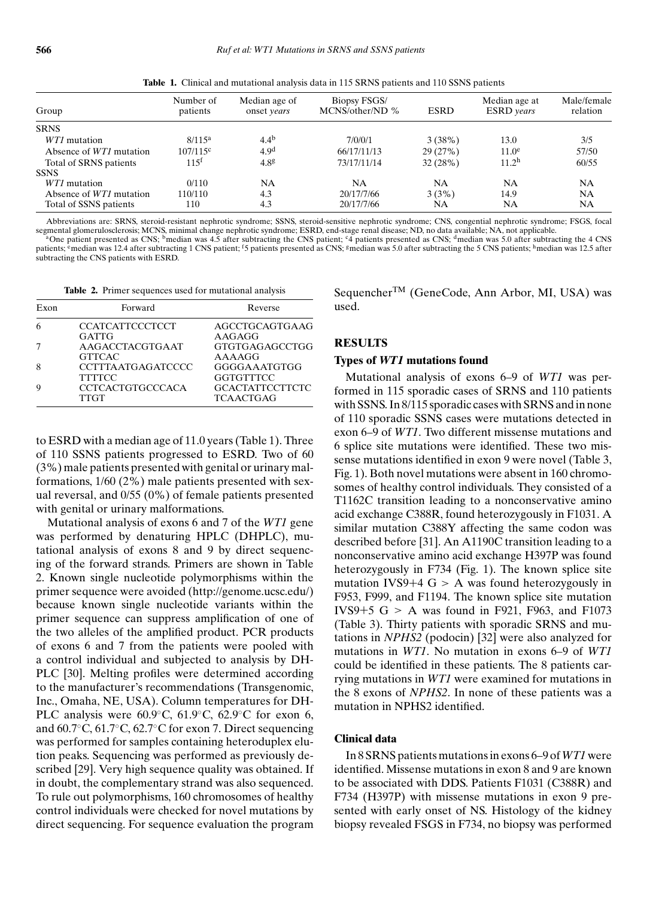**Table 1.** Clinical and mutational analysis data in 115 SRNS patients and 110 SSNS patients

| Group                          | Number of<br>patients  | Median age of<br>onset years | Biopsy FSGS/<br>MCNS/other/ND % | <b>ESRD</b> | Median age at<br><b>ESRD</b> vears | Male/female<br>relation |
|--------------------------------|------------------------|------------------------------|---------------------------------|-------------|------------------------------------|-------------------------|
| <b>SRNS</b>                    |                        |                              |                                 |             |                                    |                         |
| WT1 mutation                   | $8/115^a$              | 4.4 <sup>b</sup>             | 7/0/0/1                         | 3(38%)      | 13.0                               | 3/5                     |
| Absence of <i>WT1</i> mutation | $107/115$ <sup>c</sup> | 4.9 <sup>d</sup>             | 66/17/11/13                     | 29(27%)     | 11.0 <sup>e</sup>                  | 57/50                   |
| Total of SRNS patients         | $11.5^{\text{t}}$      | 4.8 <sup>g</sup>             | 73/17/11/14                     | 32(28%)     | 11.2 <sup>h</sup>                  | 60/55                   |
| <b>SSNS</b>                    |                        |                              |                                 |             |                                    |                         |
| <i>WT1</i> mutation            | 0/110                  | NA                           | <b>NA</b>                       | <b>NA</b>   | NA                                 | NA                      |
| Absence of <i>WT1</i> mutation | 110/110                | 4.3                          | 20/17/7/66                      | 3(3%)       | 14.9                               | NA                      |
| Total of SSNS patients         | 110                    | 4.3                          | 20/17/7/66                      | NA          | NA                                 | NA                      |

Abbreviations are: SRNS, steroid-resistant nephrotic syndrome; SSNS, steroid-sensitive nephrotic syndrome; CNS, congential nephrotic syndrome; FSGS, focal segmental glomerulosclerosis; MCNS, minimal change nephrotic syndro

<sup>a</sup>One patient presented as CNS; <sup>b</sup>median was 4.5 after subtracting the CNS patient; <sup>c4</sup> patients presented as CNS; <sup>d</sup>median was 5.0 after subtracting the 4 CNS patients; <sup>e</sup>median was 12.4 after subtracting 1 CNS patient; <sup>f</sup>5 patients presented as CNS; <sup>g</sup>median was 5.0 after subtracting the 5 CNS patients; <sup>h</sup>median was 12.5 after subtracting the CNS patients with ESRD.

**Table 2.** Primer sequences used for mutational analysis

| Exon | Forward                                          | Reverse                                                        |
|------|--------------------------------------------------|----------------------------------------------------------------|
|      | <b>CCATCATTCCCTCCT</b><br><b>GATTG</b>           | AGCCTGCAGTGAAG<br>AAGAGG                                       |
|      | <b>AAGACCTACGTGAAT</b>                           | <b>GTGTGAGAGCCTGG</b>                                          |
| 8    | <b>GTTCAC</b><br><b>CCTTTAATGAGATCCCC</b>        | AAAAGG<br>GGGGAAATGTGG                                         |
|      | <b>TTTTCC</b><br><b>CCTCACTGTGCCCACA</b><br>TTGT | <b>GGTGTTTCC</b><br><b>GCACTATTCCTTCTC</b><br><b>TCAACTGAG</b> |

to ESRD with a median age of 11.0 years (Table 1). Three of 110 SSNS patients progressed to ESRD. Two of 60 (3%) male patients presented with genital or urinary malformations, 1/60 (2%) male patients presented with sexual reversal, and 0/55 (0%) of female patients presented with genital or urinary malformations.

Mutational analysis of exons 6 and 7 of the *WT1* gene was performed by denaturing HPLC (DHPLC), mutational analysis of exons 8 and 9 by direct sequencing of the forward strands. Primers are shown in Table 2. Known single nucleotide polymorphisms within the primer sequence were avoided (http://genome.ucsc.edu/) because known single nucleotide variants within the primer sequence can suppress amplification of one of the two alleles of the amplified product. PCR products of exons 6 and 7 from the patients were pooled with a control individual and subjected to analysis by DH-PLC [30]. Melting profiles were determined according to the manufacturer's recommendations (Transgenomic, Inc., Omaha, NE, USA). Column temperatures for DH-PLC analysis were 60.9◦C, 61.9◦C, 62.9◦C for exon 6, and 60.7◦C, 61.7◦C, 62.7◦C for exon 7. Direct sequencing was performed for samples containing heteroduplex elution peaks. Sequencing was performed as previously described [29]. Very high sequence quality was obtained. If in doubt, the complementary strand was also sequenced. To rule out polymorphisms, 160 chromosomes of healthy control individuals were checked for novel mutations by direct sequencing. For sequence evaluation the program

Sequencher<sup>™</sup> (GeneCode, Ann Arbor, MI, USA) was used.

## **RESULTS**

# **Types of** *WT1* **mutations found**

Mutational analysis of exons 6–9 of *WT1* was performed in 115 sporadic cases of SRNS and 110 patients with SSNS. In 8/115 sporadic cases with SRNS and in none of 110 sporadic SSNS cases were mutations detected in exon 6–9 of *WT1*. Two different missense mutations and 6 splice site mutations were identified. These two missense mutations identified in exon 9 were novel (Table 3, Fig. 1). Both novel mutations were absent in 160 chromosomes of healthy control individuals. They consisted of a T1162C transition leading to a nonconservative amino acid exchange C388R, found heterozygously in F1031. A similar mutation C388Y affecting the same codon was described before [31]. An A1190C transition leading to a nonconservative amino acid exchange H397P was found heterozygously in F734 (Fig. 1). The known splice site mutation IVS9+4  $G > A$  was found heterozygously in F953, F999, and F1194. The known splice site mutation IVS9+5 G  $> A$  was found in F921, F963, and F1073 (Table 3). Thirty patients with sporadic SRNS and mutations in *NPHS2* (podocin) [32] were also analyzed for mutations in *WT1*. No mutation in exons 6–9 of *WT1* could be identified in these patients. The 8 patients carrying mutations in *WT1* were examined for mutations in the 8 exons of *NPHS2*. In none of these patients was a mutation in NPHS2 identified.

## **Clinical data**

In 8 SRNS patients mutations in exons 6–9 of*WT1* were identified. Missense mutations in exon 8 and 9 are known to be associated with DDS. Patients F1031 (C388R) and F734 (H397P) with missense mutations in exon 9 presented with early onset of NS. Histology of the kidney biopsy revealed FSGS in F734, no biopsy was performed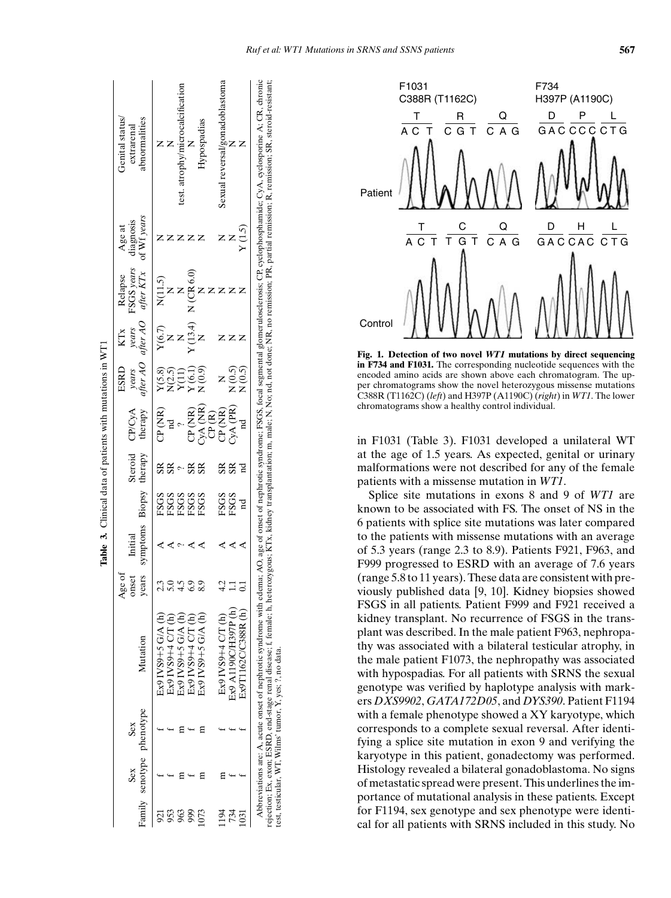|             |     |                                  |                                                         | ie ol<br>g<br>A |                                    |                  |                       |                  | ESRD               |         |                                                      | Age at                  | Genital status,                                                                                                                                                                                                                                                                                                                                                                                                                          |
|-------------|-----|----------------------------------|---------------------------------------------------------|-----------------|------------------------------------|------------------|-----------------------|------------------|--------------------|---------|------------------------------------------------------|-------------------------|------------------------------------------------------------------------------------------------------------------------------------------------------------------------------------------------------------------------------------------------------------------------------------------------------------------------------------------------------------------------------------------------------------------------------------------|
|             | Sex | Family senotype phenotype<br>Sex | Mutation                                                | years<br>onset  | symptoms Biopsy therapy<br>Initial |                  | Steroid               | CP/CyA<br>herapy | years              | years   | Relapse<br>FSGS years<br>after AO after AO after KTx | f Wf years<br>liagnosis | abnormalities<br>extrarenal                                                                                                                                                                                                                                                                                                                                                                                                              |
|             |     |                                  | $Ex9$ IVS9+5 G/A (h)                                    |                 |                                    |                  |                       | <b>TP (NR)</b>   |                    |         |                                                      |                         |                                                                                                                                                                                                                                                                                                                                                                                                                                          |
|             |     |                                  | $Ex9$ IVS9+4 C/T (                                      |                 |                                    | 388<br>888<br>89 |                       |                  | Y (3.8)<br>N (2.5) |         |                                                      |                         |                                                                                                                                                                                                                                                                                                                                                                                                                                          |
|             |     |                                  | $E_X9$ IVS9+5 G/A (h                                    | $\ddot{2}$      |                                    |                  |                       |                  |                    |         |                                                      |                         | est. atrophy/microcalcification                                                                                                                                                                                                                                                                                                                                                                                                          |
|             |     |                                  | $Ex9$ IVS9+4 C/T (                                      | 5.9             |                                    | FSS              |                       | ጋም (NR)          | $\frac{61}{1}$     | Y(13.4) | $N$ (CR 6.0)                                         |                         |                                                                                                                                                                                                                                                                                                                                                                                                                                          |
|             |     |                                  | $Ex9$ IVS9+5 G/A (h)                                    |                 |                                    | FSGS             |                       | ya (NR           | $\frac{1}{2}$      |         |                                                      |                         | Hypospadias                                                                                                                                                                                                                                                                                                                                                                                                                              |
|             |     |                                  |                                                         |                 |                                    |                  |                       |                  |                    |         |                                                      |                         |                                                                                                                                                                                                                                                                                                                                                                                                                                          |
|             |     |                                  | $Ex9$ IVS9+4 C/T (h)                                    |                 |                                    |                  | $\overline{\text{S}}$ | <b>TP (NR)</b>   |                    |         |                                                      |                         | sexual reversal/gonadoblastoma                                                                                                                                                                                                                                                                                                                                                                                                           |
| 734         |     |                                  | Ex9 A1190C/H397P (h)                                    |                 |                                    | FSGS<br>FSGS     |                       | ya (PR)          | N(0.5)             |         |                                                      |                         |                                                                                                                                                                                                                                                                                                                                                                                                                                          |
| <u>1031</u> |     |                                  | Ex9T1162C/C388R (h)                                     |                 |                                    |                  |                       |                  | N(0.5)             |         |                                                      | Y(1.5)                  |                                                                                                                                                                                                                                                                                                                                                                                                                                          |
|             |     |                                  | test, testicular, WT, Wilms' tumor, Y, yes; ?, no data. |                 |                                    |                  |                       |                  |                    |         |                                                      |                         | Abbreviations are: A, acute onset of nephrotic syndrome with edema; AO, age of onset of nephrotic syndrome; FSGS, focal segmental glomerulosclerosis; CR, cyclophosphamide; CyA, cyclosporine A; CR, chronic<br>rejection; Ex, exon; ESRD, end-stage renal disease; f, female; h, heterozygous; KTx, kidney transplantation; m, male; N, No; nd, not done; NR, no remission; PR, partial remission; R, remission; SR, steroid-resistant; |

test, testicular, WT, Wilms' tumor, Y, yes; ?, no data.



F734

H397P (A1190C)

**in F734 and F1031.** The corresponding nucleotide sequences with the encoded amino acids are shown above each chromatogram. The upper chromatograms show the novel heterozygous missense mutations C388R (T1162C) (*left*) and H397P (A1190C) (*right*) in *WT1*. The lower chromatograms show a healthy control individual.

in F1031 (Table 3). F1031 developed a unilateral WT at the age of 1.5 years. As expected, genital or urinary malformations were not described for any of the female patients with a missense mutation in *WT1*.

Splice site mutations in exons 8 and 9 of *WT1* are known to be associated with FS. The onset of NS in the 6 patients with splice site mutations was later compared to the patients with missense mutations with an average of 5.3 years (range 2.3 to 8.9). Patients F921, F963, and F999 progressed to ESRD with an average of 7.6 years (range 5.8 to 11 years). These data are consistent with previously published data [9, 10]. Kidney biopsies showed FSGS in all patients. Patient F999 and F921 received a kidney transplant. No recurrence of FSGS in the transplant was described. In the male patient F963, nephropathy was associated with a bilateral testicular atrophy, in the male patient F1073, the nephropathy was associated with hypospadias. For all patients with SRNS the sexual genotype was verified by haplotype analysis with markers *DXS9902*, *GATA172D05*, and *DYS390*. Patient F1194 with a female phenotype showed a XY karyotype, which corresponds to a complete sexual reversal. After identifying a splice site mutation in exon 9 and verifying the karyotype in this patient, gonadectomy was performed. Histology revealed a bilateral gonadoblastoma. No signs of metastatic spread were present. This underlines the importance of mutational analysis in these patients. Except for F1194, sex genotype and sex phenotype were identical for all patients with SRNS included in this study. No

F1031

C388R (T1162C)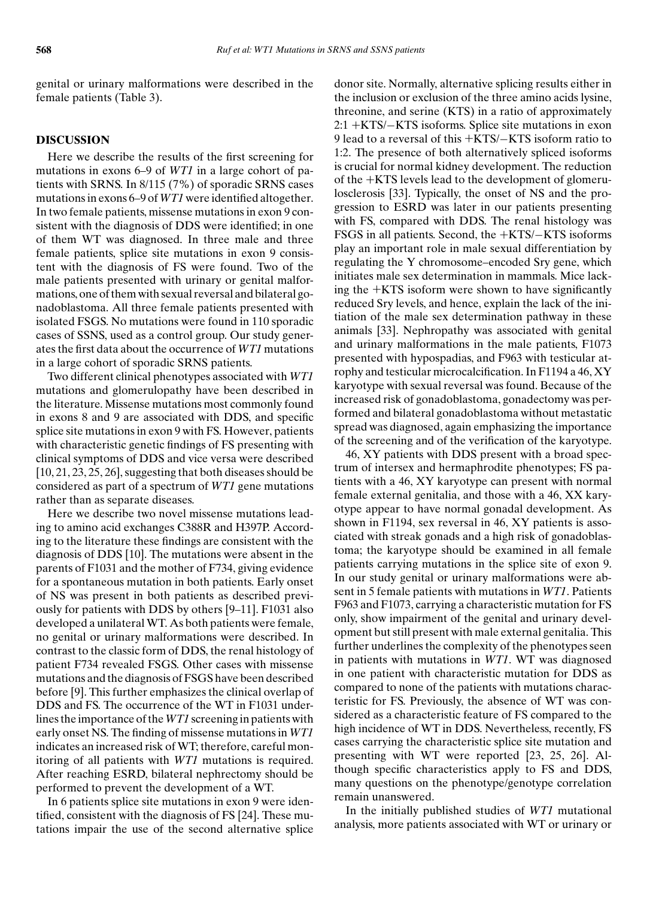genital or urinary malformations were described in the female patients (Table 3).

## **DISCUSSION**

Here we describe the results of the first screening for mutations in exons 6–9 of *WT1* in a large cohort of patients with SRNS. In 8/115 (7%) of sporadic SRNS cases mutations in exons 6–9 of*WT1* were identified altogether. In two female patients, missense mutations in exon 9 consistent with the diagnosis of DDS were identified; in one of them WT was diagnosed. In three male and three female patients, splice site mutations in exon 9 consistent with the diagnosis of FS were found. Two of the male patients presented with urinary or genital malformations, one of them with sexual reversal and bilateral gonadoblastoma. All three female patients presented with isolated FSGS. No mutations were found in 110 sporadic cases of SSNS, used as a control group. Our study generates the first data about the occurrence of *WT1* mutations in a large cohort of sporadic SRNS patients.

Two different clinical phenotypes associated with *WT1* mutations and glomerulopathy have been described in the literature. Missense mutations most commonly found in exons 8 and 9 are associated with DDS, and specific splice site mutations in exon 9 with FS. However, patients with characteristic genetic findings of FS presenting with clinical symptoms of DDS and vice versa were described [10, 21, 23, 25, 26], suggesting that both diseases should be considered as part of a spectrum of *WT1* gene mutations rather than as separate diseases.

Here we describe two novel missense mutations leading to amino acid exchanges C388R and H397P. According to the literature these findings are consistent with the diagnosis of DDS [10]. The mutations were absent in the parents of F1031 and the mother of F734, giving evidence for a spontaneous mutation in both patients. Early onset of NS was present in both patients as described previously for patients with DDS by others [9–11]. F1031 also developed a unilateral WT. As both patients were female, no genital or urinary malformations were described. In contrast to the classic form of DDS, the renal histology of patient F734 revealed FSGS. Other cases with missense mutations and the diagnosis of FSGS have been described before [9]. This further emphasizes the clinical overlap of DDS and FS. The occurrence of the WT in F1031 underlines the importance of the*WT1* screening in patients with early onset NS. The finding of missense mutations in *WT1* indicates an increased risk of WT; therefore, careful monitoring of all patients with *WT1* mutations is required. After reaching ESRD, bilateral nephrectomy should be performed to prevent the development of a WT.

In 6 patients splice site mutations in exon 9 were identified, consistent with the diagnosis of FS [24]. These mutations impair the use of the second alternative splice donor site. Normally, alternative splicing results either in the inclusion or exclusion of the three amino acids lysine, threonine, and serine (KTS) in a ratio of approximately 2:1 +KTS/−KTS isoforms. Splice site mutations in exon 9 lead to a reversal of this +KTS/−KTS isoform ratio to 1:2. The presence of both alternatively spliced isoforms is crucial for normal kidney development. The reduction of the +KTS levels lead to the development of glomerulosclerosis [33]. Typically, the onset of NS and the progression to ESRD was later in our patients presenting with FS, compared with DDS. The renal histology was FSGS in all patients. Second, the +KTS/−KTS isoforms play an important role in male sexual differentiation by regulating the Y chromosome–encoded Sry gene, which initiates male sex determination in mammals. Mice lacking the +KTS isoform were shown to have significantly reduced Sry levels, and hence, explain the lack of the initiation of the male sex determination pathway in these animals [33]. Nephropathy was associated with genital and urinary malformations in the male patients, F1073 presented with hypospadias, and F963 with testicular atrophy and testicular microcalcification. In F1194 a 46, XY karyotype with sexual reversal was found. Because of the increased risk of gonadoblastoma, gonadectomy was performed and bilateral gonadoblastoma without metastatic spread was diagnosed, again emphasizing the importance of the screening and of the verification of the karyotype.

46, XY patients with DDS present with a broad spectrum of intersex and hermaphrodite phenotypes; FS patients with a 46, XY karyotype can present with normal female external genitalia, and those with a 46, XX karyotype appear to have normal gonadal development. As shown in F1194, sex reversal in 46, XY patients is associated with streak gonads and a high risk of gonadoblastoma; the karyotype should be examined in all female patients carrying mutations in the splice site of exon 9. In our study genital or urinary malformations were absent in 5 female patients with mutations in *WT1*. Patients F963 and F1073, carrying a characteristic mutation for FS only, show impairment of the genital and urinary development but still present with male external genitalia. This further underlines the complexity of the phenotypes seen in patients with mutations in *WT1*. WT was diagnosed in one patient with characteristic mutation for DDS as compared to none of the patients with mutations characteristic for FS. Previously, the absence of WT was considered as a characteristic feature of FS compared to the high incidence of WT in DDS. Nevertheless, recently, FS cases carrying the characteristic splice site mutation and presenting with WT were reported [23, 25, 26]. Although specific characteristics apply to FS and DDS, many questions on the phenotype/genotype correlation remain unanswered.

In the initially published studies of *WT1* mutational analysis, more patients associated with WT or urinary or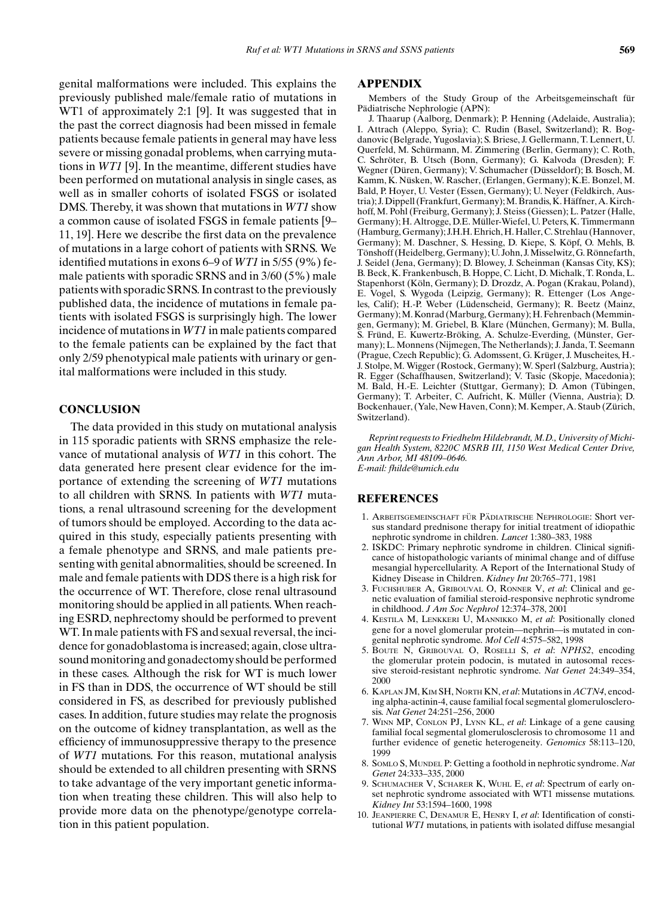genital malformations were included. This explains the previously published male/female ratio of mutations in WT1 of approximately 2:1 [9]. It was suggested that in the past the correct diagnosis had been missed in female patients because female patients in general may have less severe or missing gonadal problems, when carrying mutations in *WT1* [9]. In the meantime, different studies have been performed on mutational analysis in single cases, as well as in smaller cohorts of isolated FSGS or isolated DMS. Thereby, it was shown that mutations in *WT1* show a common cause of isolated FSGS in female patients [9– 11, 19]. Here we describe the first data on the prevalence of mutations in a large cohort of patients with SRNS. We identified mutations in exons 6–9 of *WT1* in 5/55 (9%) female patients with sporadic SRNS and in 3/60 (5%) male patients with sporadic SRNS. In contrast to the previously published data, the incidence of mutations in female patients with isolated FSGS is surprisingly high. The lower incidence of mutations in *WT1* in male patients compared to the female patients can be explained by the fact that only 2/59 phenotypical male patients with urinary or genital malformations were included in this study.

# **CONCLUSION**

The data provided in this study on mutational analysis in 115 sporadic patients with SRNS emphasize the relevance of mutational analysis of *WT1* in this cohort. The data generated here present clear evidence for the importance of extending the screening of *WT1* mutations to all children with SRNS. In patients with *WT1* mutations, a renal ultrasound screening for the development of tumors should be employed. According to the data acquired in this study, especially patients presenting with a female phenotype and SRNS, and male patients presenting with genital abnormalities, should be screened. In male and female patients with DDS there is a high risk for the occurrence of WT. Therefore, close renal ultrasound monitoring should be applied in all patients. When reaching ESRD, nephrectomy should be performed to prevent WT. In male patients with FS and sexual reversal, the incidence for gonadoblastoma is increased; again, close ultrasound monitoring and gonadectomy should be performed in these cases. Although the risk for WT is much lower in FS than in DDS, the occurrence of WT should be still considered in FS, as described for previously published cases. In addition, future studies may relate the prognosis on the outcome of kidney transplantation, as well as the efficiency of immunosuppressive therapy to the presence of *WT1* mutations. For this reason, mutational analysis should be extended to all children presenting with SRNS to take advantage of the very important genetic information when treating these children. This will also help to provide more data on the phenotype/genotype correlation in this patient population.

#### **APPENDIX**

Members of the Study Group of the Arbeitsgemeinschaft für Pädiatrische Nephrologie (APN):

J. Thaarup (Aalborg, Denmark); P. Henning (Adelaide, Australia); I. Attrach (Aleppo, Syria); C. Rudin (Basel, Switzerland); R. Bogdanovic (Belgrade, Yugoslavia); S. Briese, J. Gellermann, T. Lennert, U. Querfeld, M. Schürmann, M. Zimmering (Berlin, Germany); C. Roth, C. Schröter, B. Utsch (Bonn, Germany); G. Kalvoda (Dresden); F. Wegner (Düren, Germany); V. Schumacher (Düsseldorf); B. Bosch, M. Kamm, K. Nusken, W. Rascher, (Erlangen, Germany); K.E. Bonzel, M. ¨ Bald, P. Hoyer, U. Vester (Essen, Germany); U. Neyer (Feldkirch, Austria); J. Dippell (Frankfurt, Germany); M. Brandis, K. Haffner, A. Kirch- ¨ hoff, M. Pohl (Freiburg, Germany); J. Steiss (Giessen); L. Patzer (Halle, Germany); H. Altrogge, D.E. Muller-Wiefel, U. Peters, K. Timmermann ¨ (Hamburg, Germany); J.H.H. Ehrich, H. Haller, C. Strehlau (Hannover, Germany); M. Daschner, S. Hessing, D. Kiepe, S. Köpf, O. Mehls, B. Tönshoff (Heidelberg, Germany); U. John, J. Misselwitz, G. Rönnefarth, J. Seidel (Jena, Germany); D. Blowey, J. Scheinman (Kansas City, KS); B. Beck, K. Frankenbusch, B. Hoppe, C. Licht, D. Michalk, T. Ronda, L. Stapenhorst (Köln, Germany); D. Drozdz, A. Pogan (Krakau, Poland), E. Vogel, S. Wygoda (Leipzig, Germany); R. Ettenger (Los Angeles, Calif); H.-P. Weber (Lüdenscheid, Germany); R. Beetz (Mainz, Germany); M. Konrad (Marburg, Germany); H. Fehrenbach (Memmingen, Germany); M. Griebel, B. Klare (München, Germany); M. Bulla, S. Fründ, E. Kuwertz-Bröking, A. Schulze-Everding, (Münster, Germany); L. Monnens (Nijmegen, The Netherlands); J. Janda, T. Seemann (Prague, Czech Republic); G. Adomssent, G. Krüger, J. Muscheites, H.-J. Stolpe, M. Wigger (Rostock, Germany); W. Sperl (Salzburg, Austria); R. Egger (Schaffhausen, Switzerland); V. Tasic (Skopje, Macedonia); M. Bald, H.-E. Leichter (Stuttgar, Germany); D. Amon (Tübingen, Germany); T. Arbeiter, C. Aufricht, K. Müller (Vienna, Austria); D. Bockenhauer, (Yale, New Haven, Conn); M. Kemper, A. Staub (Zürich, Switzerland).

*Reprint requests to Friedhelm Hildebrandt, M.D., University of Michigan Health System, 8220C MSRB III, 1150 West Medical Center Drive, Ann Arbor, MI 48109–0646. E-mail: fhilde@umich.edu*

#### **REFERENCES**

- 1. ARBEITSGEMEINSCHAFT FÜR PÄDIATRISCHE NEPHROLOGIE: Short versus standard prednisone therapy for initial treatment of idiopathic nephrotic syndrome in children. *Lancet* 1:380–383, 1988
- 2. ISKDC: Primary nephrotic syndrome in children. Clinical significance of histopathologic variants of minimal change and of diffuse mesangial hypercellularity. A Report of the International Study of Kidney Disease in Children. *Kidney Int* 20:765–771, 1981
- 3. FUCHSHUBER A, GRIBOUVAL O, RONNER V, *et al*: Clinical and genetic evaluation of familial steroid-responsive nephrotic syndrome in childhood. *J Am Soc Nephrol* 12:374–378, 2001
- 4. KESTILA M, LENKKERI U, MANNIKKO M, *et al*: Positionally cloned gene for a novel glomerular protein—nephrin—is mutated in congenital nephrotic syndrome. *Mol Cell* 4:575–582, 1998
- 5. BOUTE N, GRIBOUVAL O, ROSELLI S, *et al*: *NPHS2*, encoding the glomerular protein podocin, is mutated in autosomal recessive steroid-resistant nephrotic syndrome. *Nat Genet* 24:349–354, 2000
- 6. KAPLAN JM, KIM SH, NORTH KN, *et al*: Mutations in *ACTN4*, encoding alpha-actinin-4, cause familial focal segmental glomerulosclerosis. *Nat Genet* 24:251–256, 2000
- 7. WINN MP, CONLON PJ, LYNN KL, *et al*: Linkage of a gene causing familial focal segmental glomerulosclerosis to chromosome 11 and further evidence of genetic heterogeneity. *Genomics* 58:113–120, 1999
- 8. SOMLO S, MUNDEL P: Getting a foothold in nephrotic syndrome. *Nat Genet* 24:333–335, 2000
- 9. SCHUMACHER V, SCHARER K, WUHL E, *et al*: Spectrum of early onset nephrotic syndrome associated with WT1 missense mutations. *Kidney Int* 53:1594–1600, 1998
- 10. JEANPIERRE C, DENAMUR E, HENRY I, *et al*: Identification of constitutional *WT1* mutations, in patients with isolated diffuse mesangial